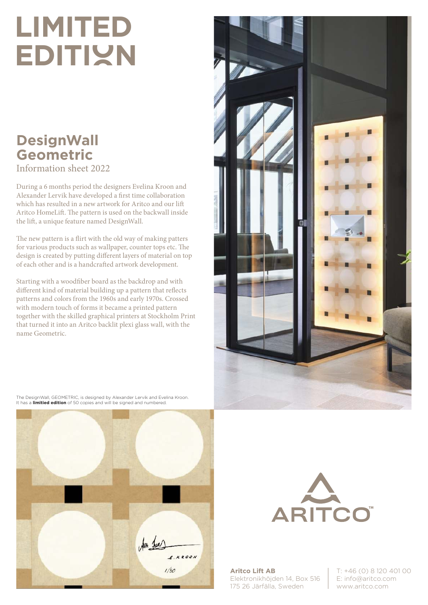## **limited EDITIVN**

### **DesignWall Geometric**  Information sheet 2022

During a 6 months period the designers Evelina Kroon and Alexander Lervik have developed a first time collaboration which has resulted in a new artwork for Aritco and our lift Aritco HomeLift. The pattern is used on the backwall inside the lift, a unique feature named DesignWall.

The new pattern is a flirt with the old way of making patters for various products such as wallpaper, counter tops etc. The design is created by putting different layers of material on top of each other and is a handcrafted artwork development.

Starting with a woodfiber board as the backdrop and with different kind of material building up a pattern that reflects patterns and colors from the 1960s and early 1970s. Crossed with modern touch of forms it became a printed pattern together with the skilled graphical printers at Stockholm Print that turned it into an Aritco backlit plexi glass wall, with the name Geometric.



The DesignWall, GEOMETRIC, is designed by Alexander Lervik and Evelina Kroon. It has a **limitied edition** of 50 copies and will be signed and numbered.





**Aritco Lift AB** Elektronikhöjden 14, Box 516 175 26 Järfälla, Sweden

T: +46 (0) 8 120 401 00 E: info@aritco.com www.aritco.com